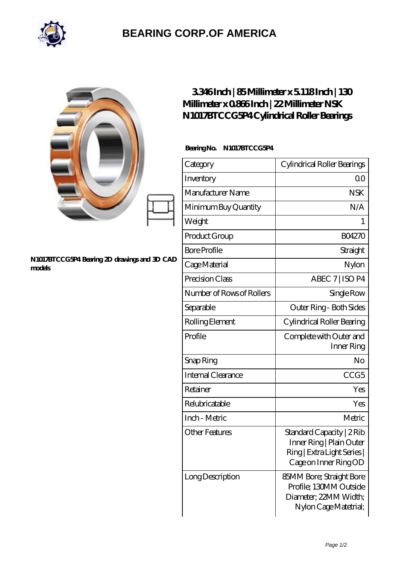

## **[BEARING CORP.OF AMERICA](https://bluemondayreview.com)**

|                                                        | 3346Inch   85Millimeter x 5118Inch   130<br>Millimeter x 0866Inch   22 Millimeter NSK<br>N1017BTCCG5P4Cylindrical Roller Bearings |                                                                                                               |
|--------------------------------------------------------|-----------------------------------------------------------------------------------------------------------------------------------|---------------------------------------------------------------------------------------------------------------|
| N1017BTCCG5P4 Bearing 2D drawings and 3D CAD<br>models | BearingNo.<br>N1017BTCCG5P4                                                                                                       |                                                                                                               |
|                                                        | Category                                                                                                                          | Cylindrical Roller Bearings                                                                                   |
|                                                        | Inventory                                                                                                                         | 0 <sub>0</sub>                                                                                                |
|                                                        | Manufacturer Name                                                                                                                 | <b>NSK</b>                                                                                                    |
|                                                        | Minimum Buy Quantity                                                                                                              | N/A                                                                                                           |
|                                                        | Weight                                                                                                                            | 1                                                                                                             |
|                                                        | Product Group                                                                                                                     | <b>BO4270</b>                                                                                                 |
|                                                        | <b>Bore Profile</b>                                                                                                               | Straight                                                                                                      |
|                                                        | Cage Material                                                                                                                     | Nylon                                                                                                         |
|                                                        | Precision Class                                                                                                                   | ABEC 7   ISO P4                                                                                               |
|                                                        | Number of Rows of Rollers                                                                                                         | Single Row                                                                                                    |
|                                                        | Separable                                                                                                                         | Outer Ring - Both Sides                                                                                       |
|                                                        | Rolling Element                                                                                                                   | Cylindrical Roller Bearing                                                                                    |
|                                                        | Profile                                                                                                                           | Complete with Outer and<br>Inner Ring                                                                         |
|                                                        | Snap Ring                                                                                                                         | N <sub>O</sub>                                                                                                |
|                                                        | Internal Clearance                                                                                                                | CCG <sub>5</sub>                                                                                              |
|                                                        | Retainer                                                                                                                          | Yes                                                                                                           |
|                                                        | Relubricatable                                                                                                                    | Yes                                                                                                           |
|                                                        | Inch - Metric                                                                                                                     | Metric                                                                                                        |
|                                                        | <b>Other Features</b>                                                                                                             | Standard Capacity   2 Rib<br>Inner Ring   Plain Outer<br>Ring   Extra Light Series  <br>Cage on Inner Ring OD |
|                                                        | Long Description                                                                                                                  | 85MM Bore; Straight Bore<br>Profile; 130MM Outside<br>Diameter; 22MM Width;<br>Nylon Cage Matetrial;          |